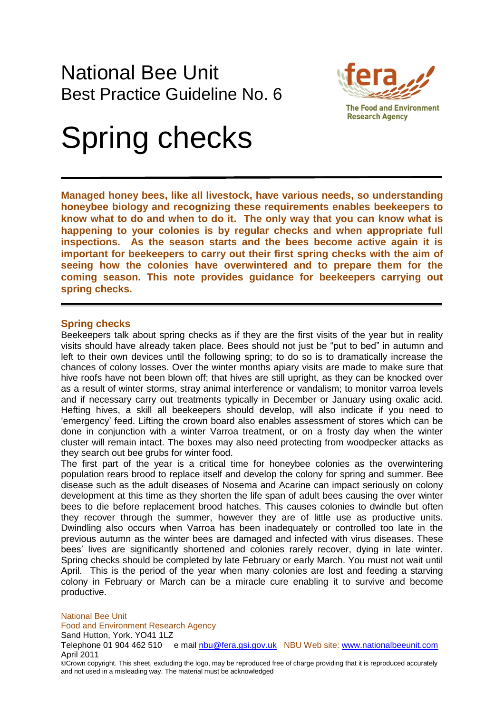

**The Food and Environment Research Agency** 

# Spring checks

**Managed honey bees, like all livestock, have various needs, so understanding honeybee biology and recognizing these requirements enables beekeepers to know what to do and when to do it. The only way that you can know what is happening to your colonies is by regular checks and when appropriate full inspections. As the season starts and the bees become active again it is important for beekeepers to carry out their first spring checks with the aim of seeing how the colonies have overwintered and to prepare them for the coming season. This note provides guidance for beekeepers carrying out spring checks.**

## **Spring checks**

Beekeepers talk about spring checks as if they are the first visits of the year but in reality visits should have already taken place. Bees should not just be "put to bed" in autumn and left to their own devices until the following spring; to do so is to dramatically increase the chances of colony losses. Over the winter months apiary visits are made to make sure that hive roofs have not been blown off; that hives are still upright, as they can be knocked over as a result of winter storms, stray animal interference or vandalism; to monitor varroa levels and if necessary carry out treatments typically in December or January using oxalic acid. Hefting hives, a skill all beekeepers should develop, will also indicate if you need to "emergency" feed. Lifting the crown board also enables assessment of stores which can be done in conjunction with a winter Varroa treatment, or on a frosty day when the winter cluster will remain intact. The boxes may also need protecting from woodpecker attacks as they search out bee grubs for winter food.

The first part of the year is a critical time for honeybee colonies as the overwintering population rears brood to replace itself and develop the colony for spring and summer. Bee disease such as the adult diseases of Nosema and Acarine can impact seriously on colony development at this time as they shorten the life span of adult bees causing the over winter bees to die before replacement brood hatches. This causes colonies to dwindle but often they recover through the summer, however they are of little use as productive units. Dwindling also occurs when Varroa has been inadequately or controlled too late in the previous autumn as the winter bees are damaged and infected with virus diseases. These bees' lives are significantly shortened and colonies rarely recover, dying in late winter. Spring checks should be completed by late February or early March. You must not wait until April. This is the period of the year when many colonies are lost and feeding a starving colony in February or March can be a miracle cure enabling it to survive and become productive.

National Bee Unit Food and Environment Research Agency

Sand Hutton, York. YO41 1LZ

Telephone 01 904 462 510 e mail nbu@fera.gsi.gov.uk NBU Web site: www.nationalbeeunit.com April 2011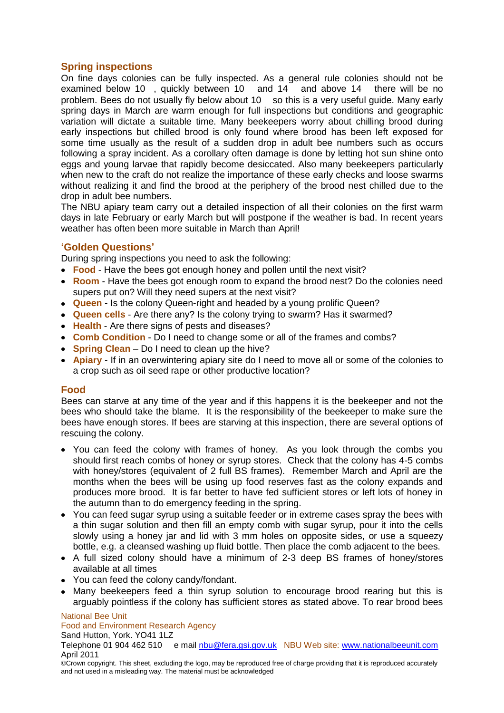## **Spring inspections**

On fine days colonies can be fully inspected. As a general rule colonies should not be examined below 10 , quickly between 10 and 14 and above 14 there will be no problem. Bees do not usually fly below about 10 so this is a very useful guide. Many early spring days in March are warm enough for full inspections but conditions and geographic variation will dictate a suitable time. Many beekeepers worry about chilling brood during early inspections but chilled brood is only found where brood has been left exposed for some time usually as the result of a sudden drop in adult bee numbers such as occurs following a spray incident. As a corollary often damage is done by letting hot sun shine onto eggs and young larvae that rapidly become desiccated. Also many beekeepers particularly when new to the craft do not realize the importance of these early checks and loose swarms without realizing it and find the brood at the periphery of the brood nest chilled due to the drop in adult bee numbers.

The NBU apiary team carry out a detailed inspection of all their colonies on the first warm days in late February or early March but will postpone if the weather is bad. In recent years weather has often been more suitable in March than April!

## **'Golden Questions'**

During spring inspections you need to ask the following:

- **Food** Have the bees got enough honey and pollen until the next visit?
- **Room** Have the bees got enough room to expand the brood nest? Do the colonies need supers put on? Will they need supers at the next visit?
- **Queen** Is the colony Queen-right and headed by a young prolific Queen?
- **Queen cells** Are there any? Is the colony trying to swarm? Has it swarmed?
- **Health** Are there signs of pests and diseases?
- **Comb Condition** Do I need to change some or all of the frames and combs?
- **Spring Clean** Do I need to clean up the hive?
- **Apiary** If in an overwintering apiary site do I need to move all or some of the colonies to a crop such as oil seed rape or other productive location?

## **Food**

Bees can starve at any time of the year and if this happens it is the beekeeper and not the bees who should take the blame. It is the responsibility of the beekeeper to make sure the bees have enough stores. If bees are starving at this inspection, there are several options of rescuing the colony.

- You can feed the colony with frames of honey. As you look through the combs you should first reach combs of honey or syrup stores. Check that the colony has 4-5 combs with honey/stores (equivalent of 2 full BS frames). Remember March and April are the months when the bees will be using up food reserves fast as the colony expands and produces more brood. It is far better to have fed sufficient stores or left lots of honey in the autumn than to do emergency feeding in the spring.
- You can feed sugar syrup using a suitable feeder or in extreme cases spray the bees with a thin sugar solution and then fill an empty comb with sugar syrup, pour it into the cells slowly using a honey jar and lid with 3 mm holes on opposite sides, or use a squeezy bottle, e.g. a cleansed washing up fluid bottle. Then place the comb adjacent to the bees.
- A full sized colony should have a minimum of 2-3 deep BS frames of honey/stores available at all times
- You can feed the colony candy/fondant.
- Many beekeepers feed a thin syrup solution to encourage brood rearing but this is arguably pointless if the colony has sufficient stores as stated above. To rear brood bees

National Bee Unit

Food and Environment Research Agency

Sand Hutton, York. YO41 1LZ

Telephone 01 904 462 510 e mail nbu@fera.gsi.gov.uk NBU Web site: www.nationalbeeunit.com April 2011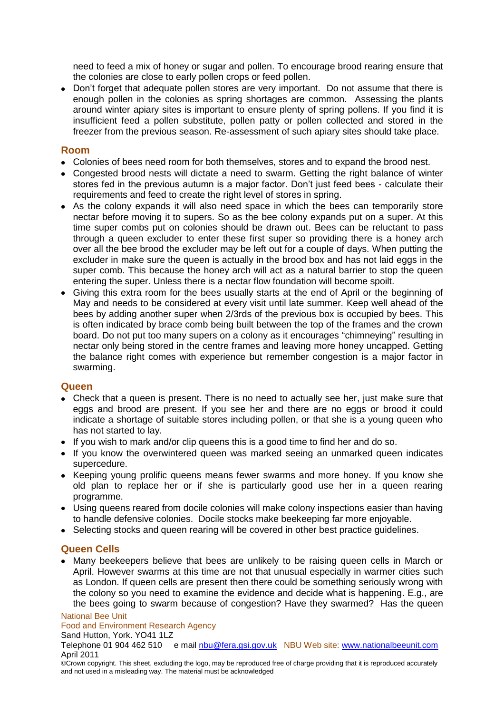need to feed a mix of honey or sugar and pollen. To encourage brood rearing ensure that the colonies are close to early pollen crops or feed pollen.

• Don't forget that adequate pollen stores are very important. Do not assume that there is enough pollen in the colonies as spring shortages are common. Assessing the plants around winter apiary sites is important to ensure plenty of spring pollens. If you find it is insufficient feed a pollen substitute, pollen patty or pollen collected and stored in the freezer from the previous season. Re-assessment of such apiary sites should take place.

## **Room**

- Colonies of bees need room for both themselves, stores and to expand the brood nest.
- Congested brood nests will dictate a need to swarm. Getting the right balance of winter stores fed in the previous autumn is a major factor. Don"t just feed bees - calculate their requirements and feed to create the right level of stores in spring.
- As the colony expands it will also need space in which the bees can temporarily store nectar before moving it to supers. So as the bee colony expands put on a super. At this time super combs put on colonies should be drawn out. Bees can be reluctant to pass through a queen excluder to enter these first super so providing there is a honey arch over all the bee brood the excluder may be left out for a couple of days. When putting the excluder in make sure the queen is actually in the brood box and has not laid eggs in the super comb. This because the honey arch will act as a natural barrier to stop the queen entering the super. Unless there is a nectar flow foundation will become spoilt.
- Giving this extra room for the bees usually starts at the end of April or the beginning of May and needs to be considered at every visit until late summer. Keep well ahead of the bees by adding another super when 2/3rds of the previous box is occupied by bees. This is often indicated by brace comb being built between the top of the frames and the crown board. Do not put too many supers on a colony as it encourages "chimneying" resulting in nectar only being stored in the centre frames and leaving more honey uncapped. Getting the balance right comes with experience but remember congestion is a major factor in swarming.

## **Queen**

- Check that a queen is present. There is no need to actually see her, just make sure that eggs and brood are present. If you see her and there are no eggs or brood it could indicate a shortage of suitable stores including pollen, or that she is a young queen who has not started to lay.
- If you wish to mark and/or clip queens this is a good time to find her and do so.
- If you know the overwintered queen was marked seeing an unmarked queen indicates supercedure.
- Keeping young prolific queens means fewer swarms and more honey. If you know she old plan to replace her or if she is particularly good use her in a queen rearing programme.
- Using queens reared from docile colonies will make colony inspections easier than having to handle defensive colonies. Docile stocks make beekeeping far more enjoyable.
- Selecting stocks and queen rearing will be covered in other best practice guidelines.

## **Queen Cells**

Many beekeepers believe that bees are unlikely to be raising queen cells in March or April. However swarms at this time are not that unusual especially in warmer cities such as London. If queen cells are present then there could be something seriously wrong with the colony so you need to examine the evidence and decide what is happening. E.g., are the bees going to swarm because of congestion? Have they swarmed? Has the queen

National Bee Unit

#### Food and Environment Research Agency

#### Sand Hutton, York. YO41 1LZ

Telephone 01 904 462 510 e mail nbu@fera.gsi.gov.uk NBU Web site: www.nationalbeeunit.com April 2011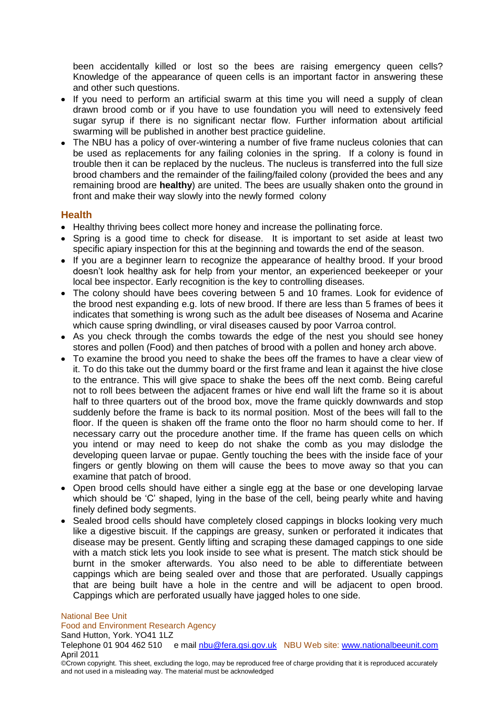been accidentally killed or lost so the bees are raising emergency queen cells? Knowledge of the appearance of queen cells is an important factor in answering these and other such questions.

- If you need to perform an artificial swarm at this time you will need a supply of clean drawn brood comb or if you have to use foundation you will need to extensively feed sugar syrup if there is no significant nectar flow. Further information about artificial swarming will be published in another best practice guideline.
- The NBU has a policy of over-wintering a number of five frame nucleus colonies that can be used as replacements for any failing colonies in the spring. If a colony is found in trouble then it can be replaced by the nucleus. The nucleus is transferred into the full size brood chambers and the remainder of the failing/failed colony (provided the bees and any remaining brood are **healthy**) are united. The bees are usually shaken onto the ground in front and make their way slowly into the newly formed colony

## **Health**

- Healthy thriving bees collect more honey and increase the pollinating force.
- Spring is a good time to check for disease. It is important to set aside at least two specific apiary inspection for this at the beginning and towards the end of the season.
- If you are a beginner learn to recognize the appearance of healthy brood. If your brood doesn"t look healthy ask for help from your mentor, an experienced beekeeper or your local bee inspector. Early recognition is the key to controlling diseases.
- The colony should have bees covering between 5 and 10 frames. Look for evidence of the brood nest expanding e.g. lots of new brood. If there are less than 5 frames of bees it indicates that something is wrong such as the adult bee diseases of Nosema and Acarine which cause spring dwindling, or viral diseases caused by poor Varroa control.
- As you check through the combs towards the edge of the nest you should see honey stores and pollen (Food) and then patches of brood with a pollen and honey arch above.
- To examine the brood you need to shake the bees off the frames to have a clear view of it. To do this take out the dummy board or the first frame and lean it against the hive close to the entrance. This will give space to shake the bees off the next comb. Being careful not to roll bees between the adjacent frames or hive end wall lift the frame so it is about half to three quarters out of the brood box, move the frame quickly downwards and stop suddenly before the frame is back to its normal position. Most of the bees will fall to the floor. If the queen is shaken off the frame onto the floor no harm should come to her. If necessary carry out the procedure another time. If the frame has queen cells on which you intend or may need to keep do not shake the comb as you may dislodge the developing queen larvae or pupae. Gently touching the bees with the inside face of your fingers or gently blowing on them will cause the bees to move away so that you can examine that patch of brood.
- Open brood cells should have either a single egg at the base or one developing larvae which should be 'C' shaped, Iving in the base of the cell, being pearly white and having finely defined body segments.
- Sealed brood cells should have completely closed cappings in blocks looking very much like a digestive biscuit. If the cappings are greasy, sunken or perforated it indicates that disease may be present. Gently lifting and scraping these damaged cappings to one side with a match stick lets you look inside to see what is present. The match stick should be burnt in the smoker afterwards. You also need to be able to differentiate between cappings which are being sealed over and those that are perforated. Usually cappings that are being built have a hole in the centre and will be adjacent to open brood. Cappings which are perforated usually have jagged holes to one side.

National Bee Unit

Food and Environment Research Agency

#### Sand Hutton, York. YO41 1LZ

Telephone 01 904 462 510 e mail nbu@fera.gsi.gov.uk NBU Web site: www.nationalbeeunit.com April 2011

<sup>©</sup>Crown copyright. This sheet, excluding the logo, may be reproduced free of charge providing that it is reproduced accurately and not used in a misleading way. The material must be acknowledged